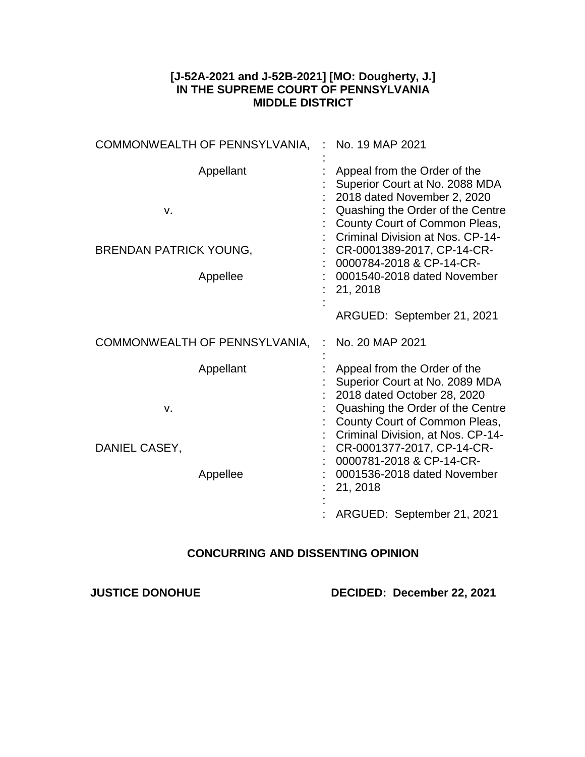## **[J-52A-2021 and J-52B-2021] [MO: Dougherty, J.] IN THE SUPREME COURT OF PENNSYLVANIA MIDDLE DISTRICT**

| COMMONWEALTH OF PENNSYLVANIA,                                | No. 19 MAP 2021                                                                                                                                                                                                                                                                                                                            |
|--------------------------------------------------------------|--------------------------------------------------------------------------------------------------------------------------------------------------------------------------------------------------------------------------------------------------------------------------------------------------------------------------------------------|
| Appellant<br>v.<br><b>BRENDAN PATRICK YOUNG,</b><br>Appellee | Appeal from the Order of the<br>Superior Court at No. 2088 MDA<br>2018 dated November 2, 2020<br>Quashing the Order of the Centre<br>County Court of Common Pleas,<br>Criminal Division at Nos. CP-14-<br>CR-0001389-2017, CP-14-CR-<br>0000784-2018 & CP-14-CR-<br>0001540-2018 dated November<br>21, 2018<br>ARGUED: September 21, 2021  |
| COMMONWEALTH OF PENNSYLVANIA,                                | No. 20 MAP 2021                                                                                                                                                                                                                                                                                                                            |
| Appellant<br>V.<br>DANIEL CASEY,<br>Appellee                 | Appeal from the Order of the<br>Superior Court at No. 2089 MDA<br>2018 dated October 28, 2020<br>Quashing the Order of the Centre<br>County Court of Common Pleas,<br>Criminal Division, at Nos. CP-14-<br>CR-0001377-2017, CP-14-CR-<br>0000781-2018 & CP-14-CR-<br>0001536-2018 dated November<br>21, 2018<br>ARGUED: September 21, 2021 |

## **CONCURRING AND DISSENTING OPINION**

**JUSTICE DONOHUE DECIDED: December 22, 2021**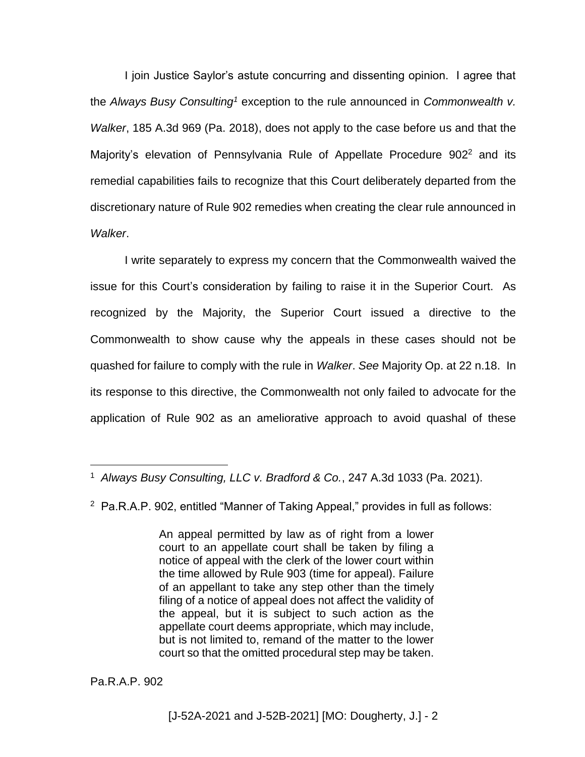I join Justice Saylor's astute concurring and dissenting opinion. I agree that the *Always Busy Consulting<sup>1</sup>* exception to the rule announced in *Commonwealth v. Walker*, 185 A.3d 969 (Pa. 2018), does not apply to the case before us and that the Majority's elevation of Pennsylvania Rule of Appellate Procedure 902<sup>2</sup> and its remedial capabilities fails to recognize that this Court deliberately departed from the discretionary nature of Rule 902 remedies when creating the clear rule announced in *Walker*.

I write separately to express my concern that the Commonwealth waived the issue for this Court's consideration by failing to raise it in the Superior Court. As recognized by the Majority, the Superior Court issued a directive to the Commonwealth to show cause why the appeals in these cases should not be quashed for failure to comply with the rule in *Walker*. *See* Majority Op. at 22 n.18. In its response to this directive, the Commonwealth not only failed to advocate for the application of Rule 902 as an ameliorative approach to avoid quashal of these

2 Pa.R.A.P. 902, entitled "Manner of Taking Appeal," provides in full as follows:

An appeal permitted by law as of right from a lower court to an appellate court shall be taken by filing a notice of appeal with the clerk of the lower court within the time allowed by Rule 903 (time for appeal). Failure of an appellant to take any step other than the timely filing of a notice of appeal does not affect the validity of the appeal, but it is subject to such action as the appellate court deems appropriate, which may include, but is not limited to, remand of the matter to the lower court so that the omitted procedural step may be taken.

Pa.R.A.P. 902

l

<sup>1</sup> *Always Busy Consulting, LLC v. Bradford & Co.*, 247 A.3d 1033 (Pa. 2021).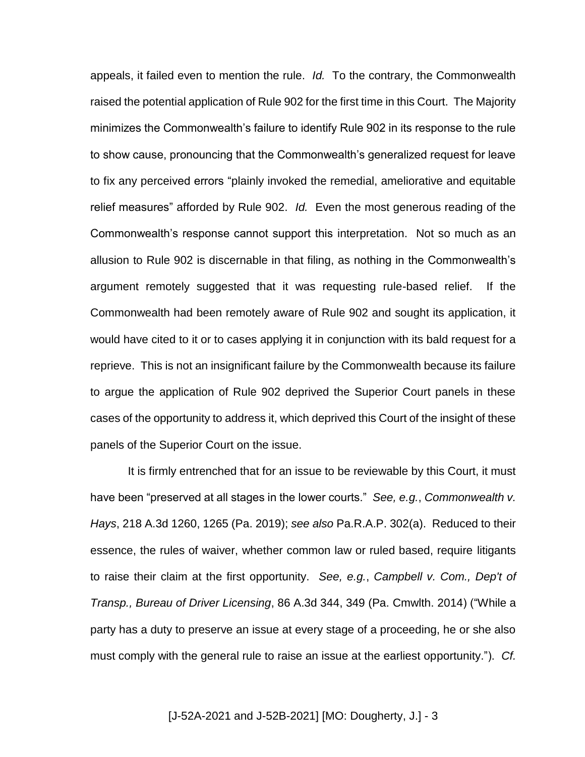appeals, it failed even to mention the rule. *Id.* To the contrary, the Commonwealth raised the potential application of Rule 902 for the first time in this Court. The Majority minimizes the Commonwealth's failure to identify Rule 902 in its response to the rule to show cause, pronouncing that the Commonwealth's generalized request for leave to fix any perceived errors "plainly invoked the remedial, ameliorative and equitable relief measures" afforded by Rule 902. *Id.* Even the most generous reading of the Commonwealth's response cannot support this interpretation. Not so much as an allusion to Rule 902 is discernable in that filing, as nothing in the Commonwealth's argument remotely suggested that it was requesting rule-based relief. If the Commonwealth had been remotely aware of Rule 902 and sought its application, it would have cited to it or to cases applying it in conjunction with its bald request for a reprieve. This is not an insignificant failure by the Commonwealth because its failure to argue the application of Rule 902 deprived the Superior Court panels in these cases of the opportunity to address it, which deprived this Court of the insight of these panels of the Superior Court on the issue.

It is firmly entrenched that for an issue to be reviewable by this Court, it must have been "preserved at all stages in the lower courts." *See, e.g.*, *Commonwealth v. Hays*, 218 A.3d 1260, 1265 (Pa. 2019); *see also* Pa.R.A.P. 302(a). Reduced to their essence, the rules of waiver, whether common law or ruled based, require litigants to raise their claim at the first opportunity. *See, e.g.*, *Campbell v. Com., Dep't of Transp., Bureau of Driver Licensing*, 86 A.3d 344, 349 (Pa. Cmwlth. 2014) ("While a party has a duty to preserve an issue at every stage of a proceeding, he or she also must comply with the general rule to raise an issue at the earliest opportunity."). *Cf.*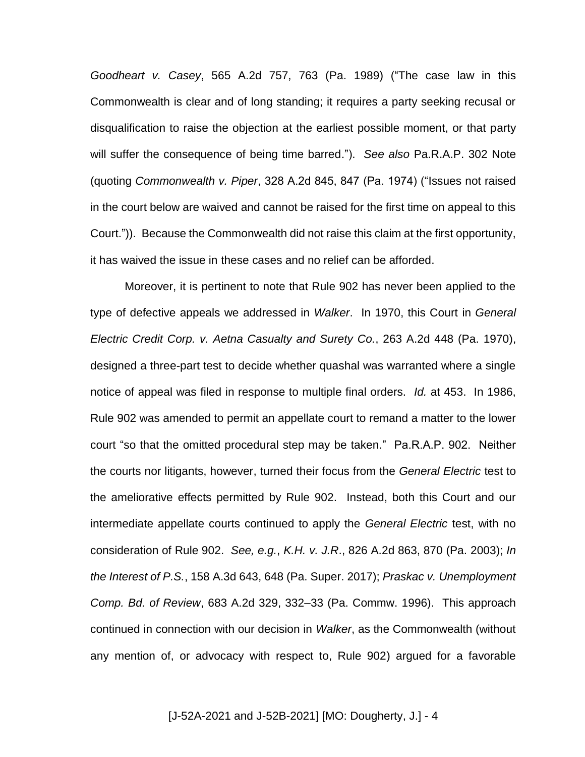*Goodheart v. Casey*, 565 A.2d 757, 763 (Pa. 1989) ("The case law in this Commonwealth is clear and of long standing; it requires a party seeking recusal or disqualification to raise the objection at the earliest possible moment, or that party will suffer the consequence of being time barred."). *See also* Pa.R.A.P. 302 Note (quoting *Commonwealth v. Piper*, 328 A.2d 845, 847 (Pa. 1974) ("Issues not raised in the court below are waived and cannot be raised for the first time on appeal to this Court.")). Because the Commonwealth did not raise this claim at the first opportunity, it has waived the issue in these cases and no relief can be afforded.

Moreover, it is pertinent to note that Rule 902 has never been applied to the type of defective appeals we addressed in *Walker*. In 1970, this Court in *General Electric Credit Corp. v. Aetna Casualty and Surety Co.*, 263 A.2d 448 (Pa. 1970), designed a three-part test to decide whether quashal was warranted where a single notice of appeal was filed in response to multiple final orders. *Id.* at 453. In 1986, Rule 902 was amended to permit an appellate court to remand a matter to the lower court "so that the omitted procedural step may be taken." Pa.R.A.P. 902. Neither the courts nor litigants, however, turned their focus from the *General Electric* test to the ameliorative effects permitted by Rule 902. Instead, both this Court and our intermediate appellate courts continued to apply the *General Electric* test, with no consideration of Rule 902. *See, e.g.*, *K.H. v. J.R*., 826 A.2d 863, 870 (Pa. 2003); *In the Interest of P.S.*, 158 A.3d 643, 648 (Pa. Super. 2017); *Praskac v. Unemployment Comp. Bd. of Review*, 683 A.2d 329, 332–33 (Pa. Commw. 1996). This approach continued in connection with our decision in *Walker*, as the Commonwealth (without any mention of, or advocacy with respect to, Rule 902) argued for a favorable